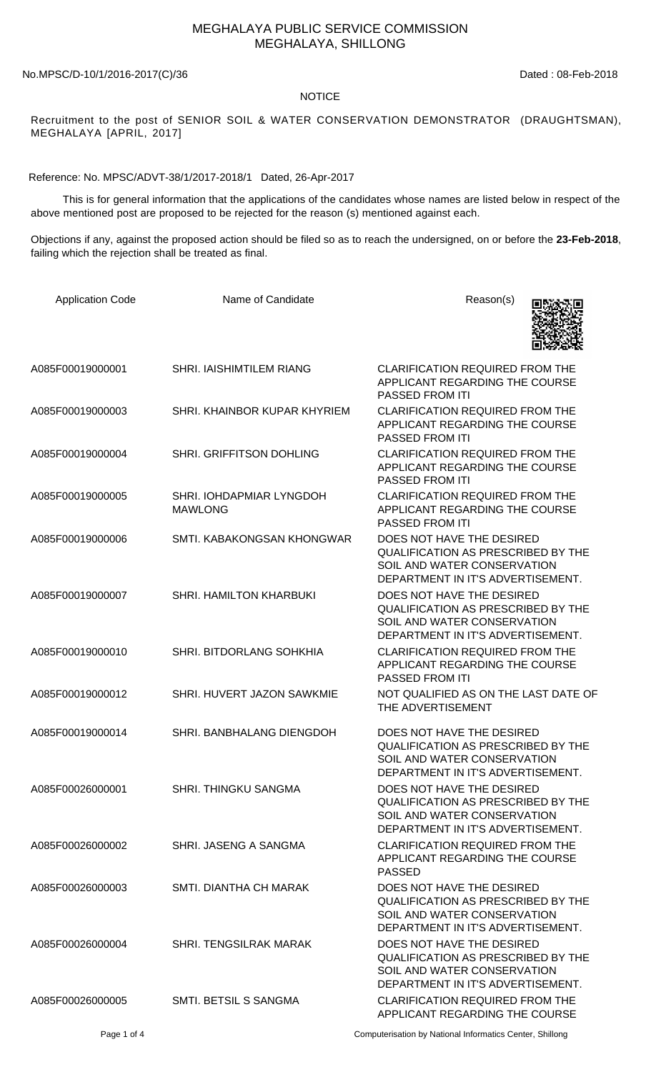## MEGHALAYA PUBLIC SERVICE COMMISSION MEGHALAYA, SHILLONG

No.MPSC/D-10/1/2016-2017(C)/36 Dated: 08-Feb-2018

## NOTICE

Recruitment to the post of SENIOR SOIL & WATER CONSERVATION DEMONSTRATOR (DRAUGHTSMAN), MEGHALAYA [APRIL, 2017]

Reference: No. MPSC/ADVT-38/1/2017-2018/1 Dated, 26-Apr-2017

 This is for general information that the applications of the candidates whose names are listed below in respect of the above mentioned post are proposed to be rejected for the reason (s) mentioned against each.

Objections if any, against the proposed action should be filed so as to reach the undersigned, on or before the **23-Feb-2018**, failing which the rejection shall be treated as final.

| <b>Application Code</b> | Name of Candidate                          | Reason(s)                                                                                                                                  |
|-------------------------|--------------------------------------------|--------------------------------------------------------------------------------------------------------------------------------------------|
| A085F00019000001        | SHRI. IAISHIMTILEM RIANG                   | <b>CLARIFICATION REQUIRED FROM THE</b><br>APPLICANT REGARDING THE COURSE<br>PASSED FROM ITI                                                |
| A085F00019000003        | SHRI. KHAINBOR KUPAR KHYRIEM               | <b>CLARIFICATION REQUIRED FROM THE</b><br>APPLICANT REGARDING THE COURSE<br>PASSED FROM ITI                                                |
| A085F00019000004        | SHRI. GRIFFITSON DOHLING                   | <b>CLARIFICATION REQUIRED FROM THE</b><br>APPLICANT REGARDING THE COURSE<br>PASSED FROM ITI                                                |
| A085F00019000005        | SHRI. IOHDAPMIAR LYNGDOH<br><b>MAWLONG</b> | <b>CLARIFICATION REQUIRED FROM THE</b><br>APPLICANT REGARDING THE COURSE<br><b>PASSED FROM ITI</b>                                         |
| A085F00019000006        | SMTI. KABAKONGSAN KHONGWAR                 | DOES NOT HAVE THE DESIRED<br><b>QUALIFICATION AS PRESCRIBED BY THE</b><br>SOIL AND WATER CONSERVATION<br>DEPARTMENT IN IT'S ADVERTISEMENT. |
| A085F00019000007        | SHRI. HAMILTON KHARBUKI                    | DOES NOT HAVE THE DESIRED<br><b>QUALIFICATION AS PRESCRIBED BY THE</b><br>SOIL AND WATER CONSERVATION<br>DEPARTMENT IN IT'S ADVERTISEMENT. |
| A085F00019000010        | SHRI. BITDORLANG SOHKHIA                   | <b>CLARIFICATION REQUIRED FROM THE</b><br>APPLICANT REGARDING THE COURSE<br>PASSED FROM ITI                                                |
| A085F00019000012        | SHRI. HUVERT JAZON SAWKMIE                 | NOT QUALIFIED AS ON THE LAST DATE OF<br>THE ADVERTISEMENT                                                                                  |
| A085F00019000014        | SHRI. BANBHALANG DIENGDOH                  | DOES NOT HAVE THE DESIRED<br>QUALIFICATION AS PRESCRIBED BY THE<br>SOIL AND WATER CONSERVATION<br>DEPARTMENT IN IT'S ADVERTISEMENT.        |
| A085F00026000001        | <b>SHRI. THINGKU SANGMA</b>                | DOES NOT HAVE THE DESIRED<br><b>QUALIFICATION AS PRESCRIBED BY THE</b><br>SOIL AND WATER CONSERVATION<br>DEPARTMENT IN IT'S ADVERTISEMENT. |
| A085F00026000002        | SHRI. JASENG A SANGMA                      | <b>CLARIFICATION REQUIRED FROM THE</b><br>APPLICANT REGARDING THE COURSE<br><b>PASSED</b>                                                  |
| A085F00026000003        | SMTI. DIANTHA CH MARAK                     | DOES NOT HAVE THE DESIRED<br><b>QUALIFICATION AS PRESCRIBED BY THE</b><br>SOIL AND WATER CONSERVATION<br>DEPARTMENT IN IT'S ADVERTISEMENT. |
| A085F00026000004        | <b>SHRI. TENGSILRAK MARAK</b>              | DOES NOT HAVE THE DESIRED<br><b>QUALIFICATION AS PRESCRIBED BY THE</b><br>SOIL AND WATER CONSERVATION<br>DEPARTMENT IN IT'S ADVERTISEMENT. |
| A085F00026000005        | SMTI. BETSIL S SANGMA                      | <b>CLARIFICATION REQUIRED FROM THE</b><br>APPLICANT REGARDING THE COURSE                                                                   |

Page 1 of 4 Computerisation by National Informatics Center, Shillong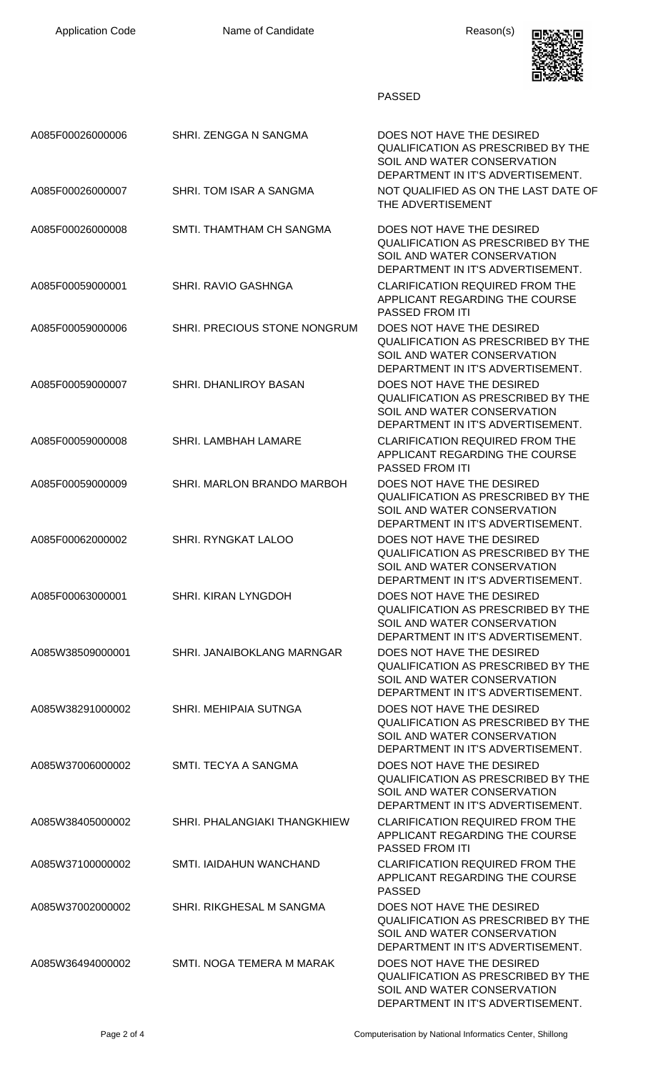

## PASSED

| A085F00026000006 | SHRI. ZENGGA N SANGMA        | DOES NOT HAVE THE DESIRED<br>QUALIFICATION AS PRESCRIBED BY THE<br>SOIL AND WATER CONSERVATION<br>DEPARTMENT IN IT'S ADVERTISEMENT.        |
|------------------|------------------------------|--------------------------------------------------------------------------------------------------------------------------------------------|
| A085F00026000007 | SHRI. TOM ISAR A SANGMA      | NOT QUALIFIED AS ON THE LAST DATE OF<br>THE ADVERTISEMENT                                                                                  |
| A085F00026000008 | SMTI. THAMTHAM CH SANGMA     | DOES NOT HAVE THE DESIRED<br><b>QUALIFICATION AS PRESCRIBED BY THE</b><br>SOIL AND WATER CONSERVATION<br>DEPARTMENT IN IT'S ADVERTISEMENT. |
| A085F00059000001 | SHRI. RAVIO GASHNGA          | <b>CLARIFICATION REQUIRED FROM THE</b><br>APPLICANT REGARDING THE COURSE<br><b>PASSED FROM ITI</b>                                         |
| A085F00059000006 | SHRI. PRECIOUS STONE NONGRUM | DOES NOT HAVE THE DESIRED<br><b>QUALIFICATION AS PRESCRIBED BY THE</b><br>SOIL AND WATER CONSERVATION<br>DEPARTMENT IN IT'S ADVERTISEMENT. |
| A085F00059000007 | <b>SHRI. DHANLIROY BASAN</b> | DOES NOT HAVE THE DESIRED<br><b>QUALIFICATION AS PRESCRIBED BY THE</b><br>SOIL AND WATER CONSERVATION<br>DEPARTMENT IN IT'S ADVERTISEMENT. |
| A085F00059000008 | SHRI. LAMBHAH LAMARE         | <b>CLARIFICATION REQUIRED FROM THE</b><br>APPLICANT REGARDING THE COURSE<br><b>PASSED FROM ITI</b>                                         |
| A085F00059000009 | SHRI. MARLON BRANDO MARBOH   | DOES NOT HAVE THE DESIRED<br><b>QUALIFICATION AS PRESCRIBED BY THE</b><br>SOIL AND WATER CONSERVATION<br>DEPARTMENT IN IT'S ADVERTISEMENT. |
| A085F00062000002 | <b>SHRI. RYNGKAT LALOO</b>   | DOES NOT HAVE THE DESIRED<br><b>QUALIFICATION AS PRESCRIBED BY THE</b><br>SOIL AND WATER CONSERVATION<br>DEPARTMENT IN IT'S ADVERTISEMENT. |
| A085F00063000001 | SHRI. KIRAN LYNGDOH          | DOES NOT HAVE THE DESIRED<br><b>QUALIFICATION AS PRESCRIBED BY THE</b><br>SOIL AND WATER CONSERVATION<br>DEPARTMENT IN IT'S ADVERTISEMENT. |
| A085W38509000001 | SHRI. JANAIBOKLANG MARNGAR   | DOES NOT HAVE THE DESIRED<br><b>QUALIFICATION AS PRESCRIBED BY THE</b><br>SOIL AND WATER CONSERVATION<br>DEPARTMENT IN IT'S ADVERTISEMENT. |
| A085W38291000002 | SHRI. MEHIPAIA SUTNGA        | DOES NOT HAVE THE DESIRED<br><b>QUALIFICATION AS PRESCRIBED BY THE</b><br>SOIL AND WATER CONSERVATION<br>DEPARTMENT IN IT'S ADVERTISEMENT. |
| A085W37006000002 | SMTI. TECYA A SANGMA         | DOES NOT HAVE THE DESIRED<br><b>QUALIFICATION AS PRESCRIBED BY THE</b><br>SOIL AND WATER CONSERVATION<br>DEPARTMENT IN IT'S ADVERTISEMENT. |
| A085W38405000002 | SHRI. PHALANGIAKI THANGKHIEW | <b>CLARIFICATION REQUIRED FROM THE</b><br>APPLICANT REGARDING THE COURSE<br><b>PASSED FROM ITI</b>                                         |
| A085W37100000002 | SMTI. IAIDAHUN WANCHAND      | <b>CLARIFICATION REQUIRED FROM THE</b><br>APPLICANT REGARDING THE COURSE<br><b>PASSED</b>                                                  |
| A085W37002000002 | SHRI. RIKGHESAL M SANGMA     | DOES NOT HAVE THE DESIRED<br><b>QUALIFICATION AS PRESCRIBED BY THE</b><br>SOIL AND WATER CONSERVATION<br>DEPARTMENT IN IT'S ADVERTISEMENT. |
| A085W36494000002 | SMTI. NOGA TEMERA M MARAK    | DOES NOT HAVE THE DESIRED<br><b>QUALIFICATION AS PRESCRIBED BY THE</b><br>SOIL AND WATER CONSERVATION<br>DEPARTMENT IN IT'S ADVERTISEMENT. |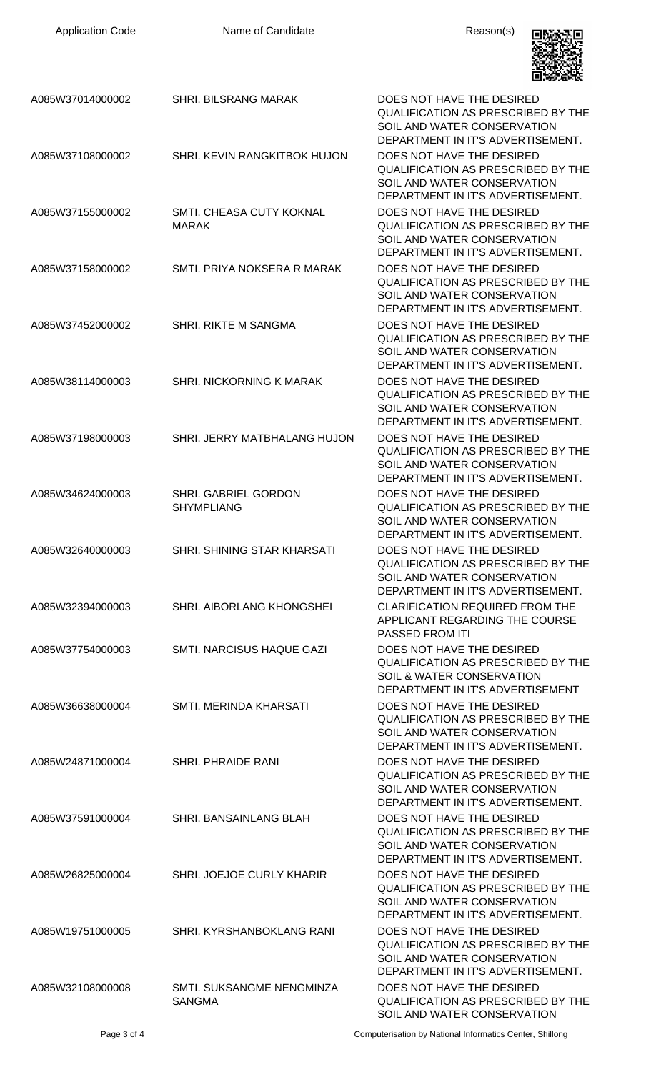| <b>Application Code</b> | Name of Candidate                          | Reason(s)                                                                                                                                  |
|-------------------------|--------------------------------------------|--------------------------------------------------------------------------------------------------------------------------------------------|
| A085W37014000002        | <b>SHRI. BILSRANG MARAK</b>                | DOES NOT HAVE THE DESIRED<br><b>QUALIFICATION AS PRESCRIBED BY THE</b><br>SOIL AND WATER CONSERVATION<br>DEPARTMENT IN IT'S ADVERTISEMENT. |
| A085W37108000002        | SHRI. KEVIN RANGKITBOK HUJON               | DOES NOT HAVE THE DESIRED<br><b>QUALIFICATION AS PRESCRIBED BY THE</b><br>SOIL AND WATER CONSERVATION<br>DEPARTMENT IN IT'S ADVERTISEMENT. |
| A085W37155000002        | SMTI. CHEASA CUTY KOKNAL<br><b>MARAK</b>   | DOES NOT HAVE THE DESIRED<br>QUALIFICATION AS PRESCRIBED BY THE<br>SOIL AND WATER CONSERVATION<br>DEPARTMENT IN IT'S ADVERTISEMENT.        |
| A085W37158000002        | SMTI, PRIYA NOKSERA R MARAK                | DOES NOT HAVE THE DESIRED<br><b>QUALIFICATION AS PRESCRIBED BY THE</b><br>SOIL AND WATER CONSERVATION<br>DEPARTMENT IN IT'S ADVERTISEMENT. |
| A085W37452000002        | SHRI. RIKTE M SANGMA                       | DOES NOT HAVE THE DESIRED<br><b>QUALIFICATION AS PRESCRIBED BY THE</b><br>SOIL AND WATER CONSERVATION<br>DEPARTMENT IN IT'S ADVERTISEMENT. |
| A085W38114000003        | SHRI. NICKORNING K MARAK                   | DOES NOT HAVE THE DESIRED<br><b>QUALIFICATION AS PRESCRIBED BY THE</b><br>SOIL AND WATER CONSERVATION<br>DEPARTMENT IN IT'S ADVERTISEMENT. |
| A085W37198000003        | SHRI. JERRY MATBHALANG HUJON               | DOES NOT HAVE THE DESIRED<br><b>QUALIFICATION AS PRESCRIBED BY THE</b><br>SOIL AND WATER CONSERVATION<br>DEPARTMENT IN IT'S ADVERTISEMENT. |
| A085W34624000003        | SHRI. GABRIEL GORDON<br><b>SHYMPLIANG</b>  | DOES NOT HAVE THE DESIRED<br><b>QUALIFICATION AS PRESCRIBED BY THE</b><br>SOIL AND WATER CONSERVATION<br>DEPARTMENT IN IT'S ADVERTISEMENT. |
| A085W32640000003        | SHRI. SHINING STAR KHARSATI                | DOES NOT HAVE THE DESIRED<br>QUALIFICATION AS PRESCRIBED BY THE<br>SOIL AND WATER CONSERVATION<br>DEPARTMENT IN IT'S ADVERTISEMENT.        |
| A085W32394000003        | SHRI. AIBORLANG KHONGSHEI                  | <b>CLARIFICATION REQUIRED FROM THE</b><br>APPLICANT REGARDING THE COURSE<br><b>PASSED FROM ITI</b>                                         |
| A085W37754000003        | SMTI. NARCISUS HAQUE GAZI                  | DOES NOT HAVE THE DESIRED<br><b>QUALIFICATION AS PRESCRIBED BY THE</b><br>SOIL & WATER CONSERVATION<br>DEPARTMENT IN IT'S ADVERTISEMENT    |
| A085W36638000004        | SMTI. MERINDA KHARSATI                     | DOES NOT HAVE THE DESIRED<br><b>QUALIFICATION AS PRESCRIBED BY THE</b><br>SOIL AND WATER CONSERVATION<br>DEPARTMENT IN IT'S ADVERTISEMENT. |
| A085W24871000004        | SHRI. PHRAIDE RANI                         | DOES NOT HAVE THE DESIRED<br><b>QUALIFICATION AS PRESCRIBED BY THE</b><br>SOIL AND WATER CONSERVATION<br>DEPARTMENT IN IT'S ADVERTISEMENT. |
| A085W37591000004        | SHRI. BANSAINLANG BLAH                     | DOES NOT HAVE THE DESIRED<br><b>QUALIFICATION AS PRESCRIBED BY THE</b><br>SOIL AND WATER CONSERVATION<br>DEPARTMENT IN IT'S ADVERTISEMENT. |
| A085W26825000004        | SHRI. JOEJOE CURLY KHARIR                  | DOES NOT HAVE THE DESIRED<br><b>QUALIFICATION AS PRESCRIBED BY THE</b><br>SOIL AND WATER CONSERVATION<br>DEPARTMENT IN IT'S ADVERTISEMENT. |
| A085W19751000005        | SHRI. KYRSHANBOKLANG RANI                  | DOES NOT HAVE THE DESIRED<br><b>QUALIFICATION AS PRESCRIBED BY THE</b><br>SOIL AND WATER CONSERVATION<br>DEPARTMENT IN IT'S ADVERTISEMENT. |
| A085W32108000008        | SMTI. SUKSANGME NENGMINZA<br><b>SANGMA</b> | DOES NOT HAVE THE DESIRED<br><b>QUALIFICATION AS PRESCRIBED BY THE</b><br>SOIL AND WATER CONSERVATION                                      |

Page 3 of 4 Computerisation by National Informatics Center, Shillong